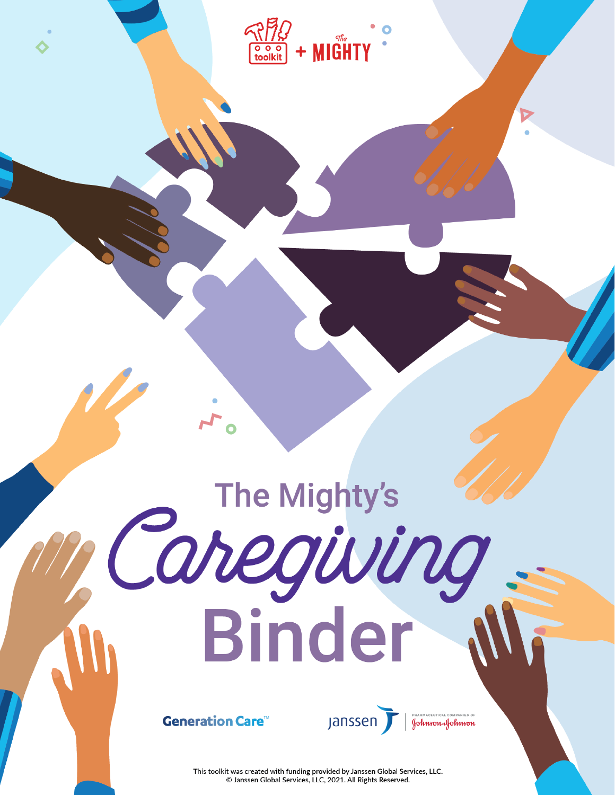

## The Mighty's Caregiving<br>Binder



Janssen

PHARMACEUTICAL COMPANIES OF<br>**Golwson & Golwson** 

This toolkit was created with funding provided by Janssen Global Services, LLC. C Janssen Global Services, LLC, 2021. All Rights Reserved.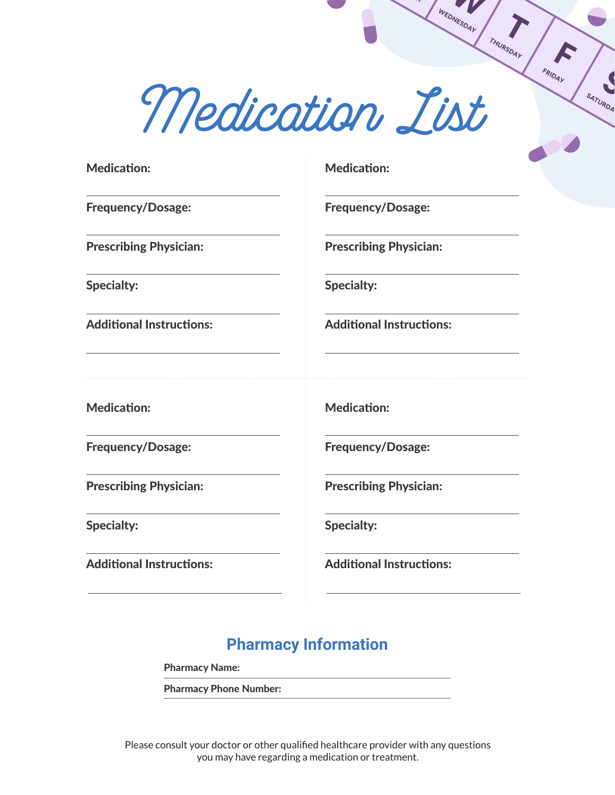*Medication List*

Medication:

Frequency/Dosage:

Prescribing Physician:

Specialty:

Additional Instructions:

Medication:

Frequency/Dosage:

Prescribing Physician:

Specialty:

Additional Instructions:

Medication:

Frequency/Dosage:

WEDNESDAY

THURSDAY

FRIDAY

SATURDA

Prescribing Physician:

Specialty:

Additional Instructions:

Medication:

Frequency/Dosage:

Prescribing Physician:

Specialty:

Additional Instructions:

## **Pharmacy Information**

Pharmacy Name:

Pharmacy Phone Number:

Please consult your doctor or other qualified healthcare provider with any questions you may have regarding a medication or treatment.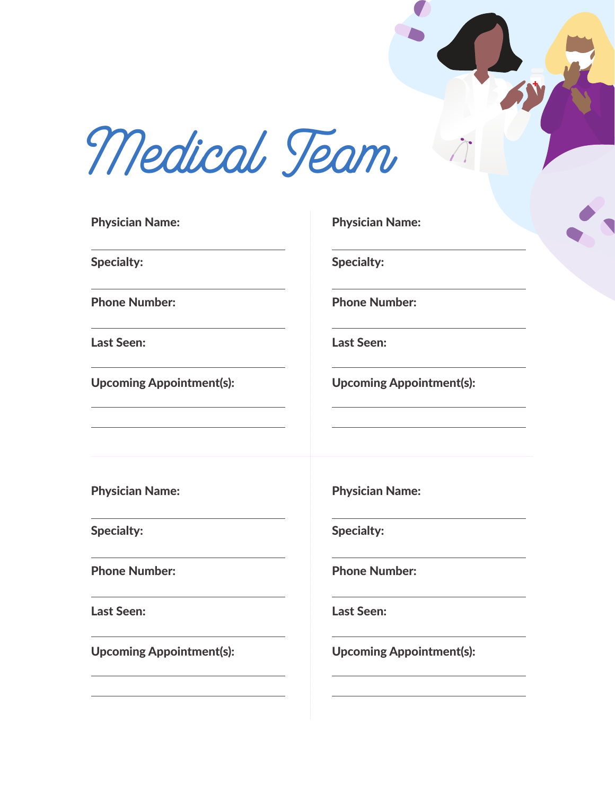*Medical Team*

| <b>Physician Name:</b>          | <b>Phys</b> |
|---------------------------------|-------------|
| <b>Specialty:</b>               | <b>Spec</b> |
| <b>Phone Number:</b>            | Phor        |
| <b>Last Seen:</b>               | Last        |
| <b>Upcoming Appointment(s):</b> | Upco        |
| <b>Physician Name:</b>          | <b>Phys</b> |
| <b>Specialty:</b>               | <b>Spec</b> |
| <b>Phone Number:</b>            | Phor        |
| <b>Last Seen:</b>               | Last        |
| <b>Upcoming Appointment(s):</b> | Upco        |
|                                 |             |

Physician Name:

 $i$ alty:

ne Number:

Seen:

oming Appointment(s):

 $s$ ician Name:

 $i$ alty:

ne Number:

Seen:

oming Appointment(s):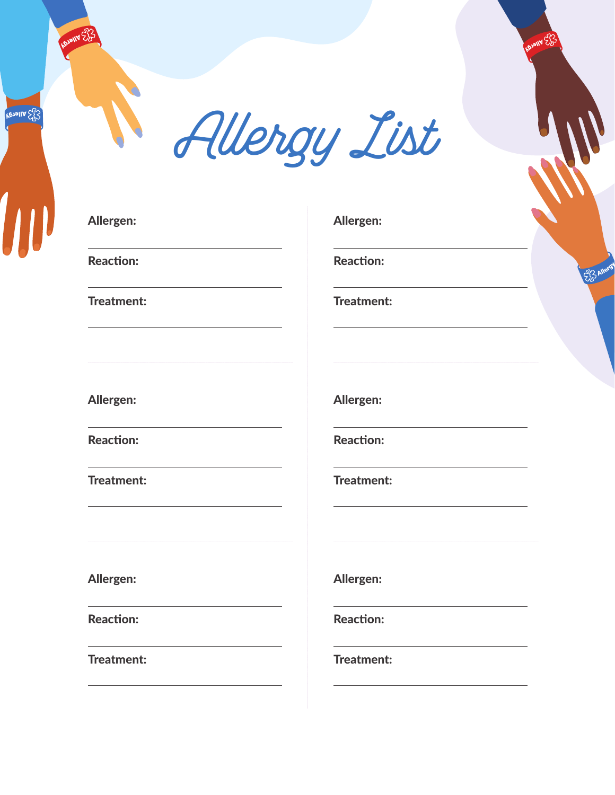**Nouveral** 



## Allergen:

Reaction:

Treatment:

Allergen:

Reaction:

Treatment:

Allergen:

Reaction:

Treatment:

Allergen:

wa Ex

Reaction:

Treatment:

Allergen:

Reaction:

Treatment:

Allergen:

Reaction:

Treatment: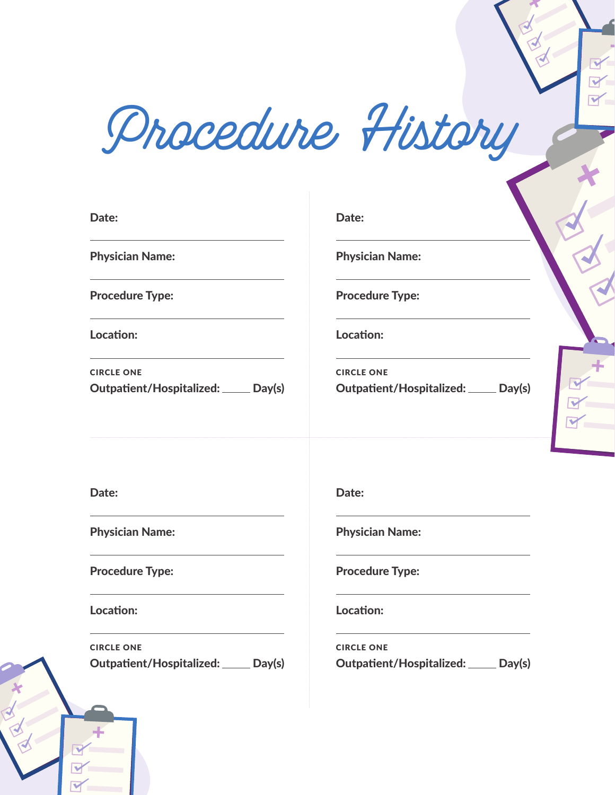*Procedure History*

| Date:                                                     | Date:                                                   |
|-----------------------------------------------------------|---------------------------------------------------------|
| <b>Physician Name:</b>                                    | <b>Physician Name:</b>                                  |
| <b>Procedure Type:</b>                                    | <b>Procedure Type:</b>                                  |
| Location:                                                 | Location:                                               |
| <b>CIRCLE ONE</b><br>Outpatient/Hospitalized: ____ Day(s) | <b>CIRCLE ONE</b><br>Day(s)<br>Outpatient/Hospitalized: |
|                                                           |                                                         |

Date:

Physician Name:

Procedure Type:

Location:

Outpatient/Hospitalized: Day(s) CIRCLE ONE

Date:

Physician Name:

Procedure Type:

Location:

Outpatient/Hospitalized: Day(s) CIRCLE ONE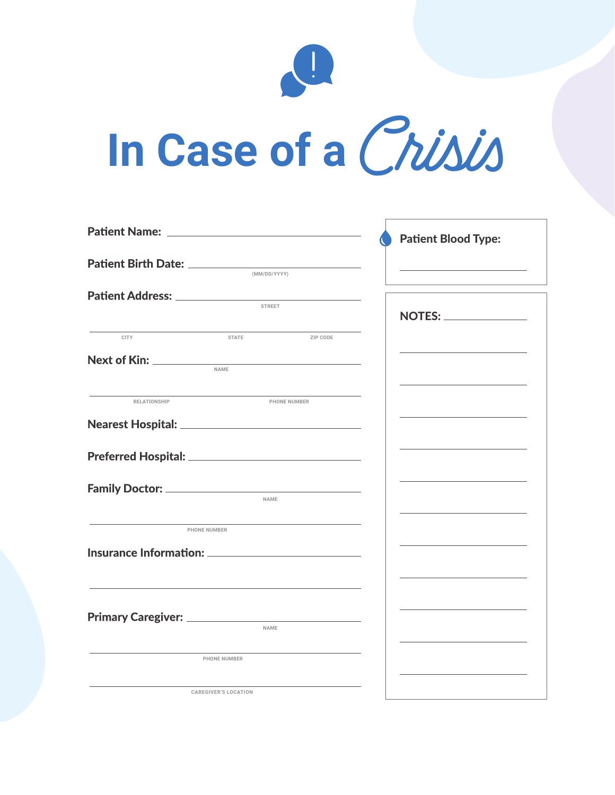

## **In Case of a***Crisis*

|              |                             |              | <b>Patient Blood Type:</b> |
|--------------|-----------------------------|--------------|----------------------------|
|              |                             |              |                            |
|              |                             | (MM/DD/YYYY) |                            |
|              |                             |              |                            |
|              | <b>STREET</b>               |              |                            |
|              |                             |              |                            |
| <b>CITY</b>  | <b>STATE</b>                | ZIP CODE     |                            |
|              |                             |              |                            |
|              | NAME                        |              |                            |
| RELATIONSHIP |                             | PHONE NUMBER |                            |
|              |                             |              |                            |
|              |                             |              |                            |
|              |                             |              |                            |
|              | NAME                        |              |                            |
|              | <b>PHONE NUMBER</b>         |              |                            |
|              |                             |              |                            |
|              |                             |              |                            |
|              |                             |              |                            |
|              |                             |              |                            |
|              | NAME                        |              |                            |
|              | <b>PHONE NUMBER</b>         |              |                            |
|              | <b>CAREGIVER'S LOCATION</b> |              |                            |